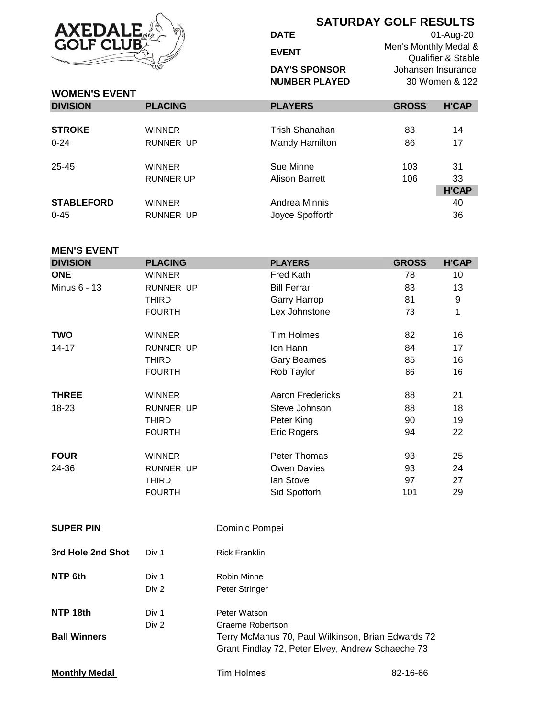

## **SATURDAY GOLF RESULTS**

**DATE EVENT DAY'S SPONSOR NUMBER PLAYED**

01-Aug-20 Men's Monthly Medal & Qualifier & Stable Johansen Insurance 30 Women & 122

| <b>WOMEN'S EVENT</b> |                  |                 |              |              |
|----------------------|------------------|-----------------|--------------|--------------|
| <b>DIVISION</b>      | <b>PLACING</b>   | <b>PLAYERS</b>  | <b>GROSS</b> | <b>H'CAP</b> |
|                      |                  |                 |              |              |
| <b>STROKE</b>        | <b>WINNER</b>    | Trish Shanahan  | 83           | 14           |
| $0 - 24$             | <b>RUNNER UP</b> | Mandy Hamilton  | 86           | 17           |
| 25-45                | <b>WINNER</b>    | Sue Minne       | 103          | 31           |
|                      | <b>RUNNER UP</b> | Alison Barrett  | 106          | 33           |
|                      |                  |                 |              | <b>H'CAP</b> |
| <b>STABLEFORD</b>    | <b>WINNER</b>    | Andrea Minnis   |              | 40           |
| $0 - 45$             | RUNNER UP        | Joyce Spofforth |              | 36           |

## **MEN'S EVENT**

| <b>DIVISION</b> | <b>PLACING</b>   | <b>PLAYERS</b>          | <b>GROSS</b> | <b>H'CAP</b> |
|-----------------|------------------|-------------------------|--------------|--------------|
| <b>ONE</b>      | <b>WINNER</b>    | Fred Kath               | 78           | 10           |
| Minus 6 - 13    | <b>RUNNER UP</b> | <b>Bill Ferrari</b>     | 83           | 13           |
|                 | <b>THIRD</b>     | <b>Garry Harrop</b>     | 81           | 9            |
|                 | <b>FOURTH</b>    | Lex Johnstone           | 73           | 1            |
| <b>TWO</b>      | <b>WINNER</b>    | Tim Holmes              | 82           | 16           |
| $14 - 17$       | <b>RUNNER UP</b> | Ion Hann                | 84           | 17           |
|                 | THIRD            | <b>Gary Beames</b>      | 85           | 16           |
|                 | <b>FOURTH</b>    | Rob Taylor              | 86           | 16           |
| <b>THREE</b>    | <b>WINNER</b>    | <b>Aaron Fredericks</b> | 88           | 21           |
| 18-23           | RUNNER UP        | Steve Johnson           | 88           | 18           |
|                 | THIRD            | Peter King              | 90           | 19           |
|                 | <b>FOURTH</b>    | Eric Rogers             | 94           | 22           |
| <b>FOUR</b>     | <b>WINNER</b>    | Peter Thomas            | 93           | 25           |
| 24-36           | <b>RUNNER UP</b> | Owen Davies             | 93           | 24           |
|                 | <b>THIRD</b>     | lan Stove               | 97           | 27           |
|                 | <b>FOURTH</b>    | Sid Spofforh            | 101          | 29           |
|                 |                  |                         |              |              |

| <b>SUPER PIN</b>    |       | Dominic Pompei                                                                                          |
|---------------------|-------|---------------------------------------------------------------------------------------------------------|
| 3rd Hole 2nd Shot   | Div 1 | <b>Rick Franklin</b>                                                                                    |
| NTP 6th             | Div 1 | Robin Minne                                                                                             |
|                     | Div 2 | Peter Stringer                                                                                          |
| NTP 18th            | Div 1 | Peter Watson                                                                                            |
|                     | Div 2 | Graeme Robertson                                                                                        |
| <b>Ball Winners</b> |       | Terry McManus 70, Paul Wilkinson, Brian Edwards 72<br>Grant Findlay 72, Peter Elvey, Andrew Schaeche 73 |

**Monthly Medal Contract Contract Contract Contract Contract Contract Contract Contract Contract Contract Contract Contract Contract Contract Contract Contract Contract Contract Contract Contract Contract Contract Contrac**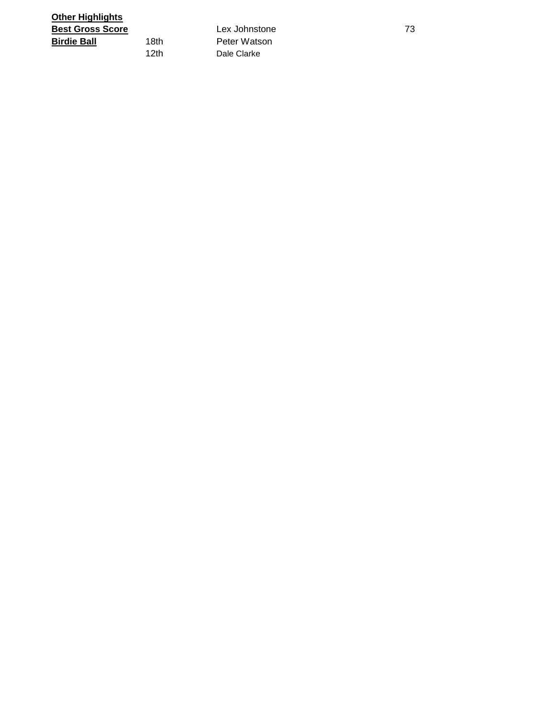| Other Highlights        |      |               |    |
|-------------------------|------|---------------|----|
| <b>Best Gross Score</b> |      | Lex Johnstone | 73 |
| <b>Birdie Ball</b>      | 18th | Peter Watson  |    |
|                         | 12th | Dale Clarke   |    |